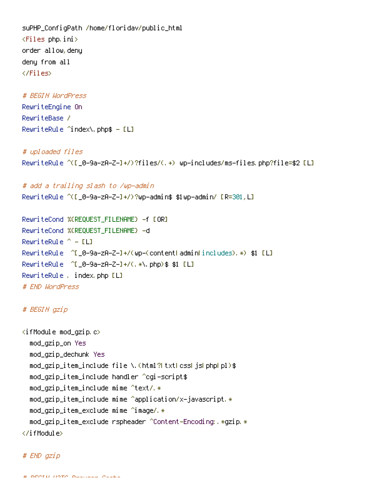suPHP\_ConfigPath /home/floridav/public\_html  $\langle$ Files php.ini $\rangle$ order allow,deny deny from all </Files>

# BEGIN WordPress RewriteEngine On RewriteBase / RewriteRule  $\hat{}$  index\.php\$ - [L]

# uploaded files RewriteRule ^([\_0-9a-zA-Z-]+/)?files/(.+) wp-includes/ms-files.php?file=\$2 [L]

# add <sup>a</sup> trailing slash to /wp-admin RewriteRule ^([\_0-9a-zA-Z-]+/)?wp-admin\$ \$1wp-admin/ [R=301,L]

RewriteCond %{REQUEST\_FILENAME} -f [OR] RewriteCond %{REQUEST\_FILENAME} -d RewriteRule  $^{\sim}$  - [L] RewriteRule ^[\_0-9a-zA-Z-]+/(wp-(content|admin|includes).\*) \$1 [L] RewriteRule ^[\_0-9a-zA-Z-]+/(.\*\.php)\$ \$1 [L] RewriteRule . index.php [L] # END WordPress

# BEGIN gzip

```
\langleifModule mod_gzip.c\ranglemod_gzip_on Yes
  mod_gzip_dechunk Yes
  mod_gzip_item_include file \.(html?|txt|css|js|php|pl)$
  mod_gzip_item_include handler ^cgi-script$
  mod\_gzip\_item\_include mime \text{`text/`}.*
  <code>mod_qzip_item_include mime \hat{}application/x-javascript.*</code>
  mod_gzip_item_exclude mime ^image/.*
  mod_gzip_item_exclude rspheader ^Content-Encoding:.*gzip.*
</ifModule>
```
# END gzip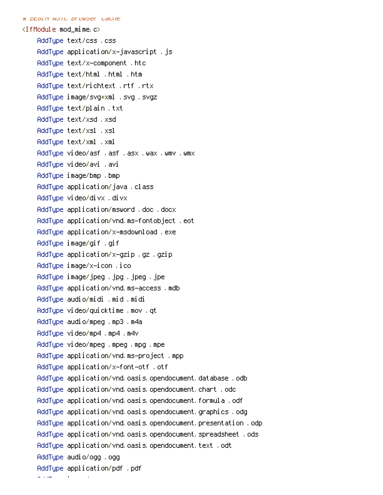```
# BEGIN W3TC Browser Cache
```
AddType image/png .png

<IfModule mod\_mime.c> AddType text/css .css AddType application/x-javascript .js AddType text/x-component .htc AddType text/html .html .htm AddType text/richtext .rtf .rtx AddType image/svg+xml .svg .svgz AddType text/plain .txt AddType text/xsd .xsd AddType text/xsl .xsl AddType text/xml .xml AddType video/asf .asf .asx .wax .wmv .wmx AddType video/avi .avi AddType image/bmp .bmp AddType application/java .class AddType video/divx .divx AddType application/msword .doc .docx AddType application/vnd.ms-fontobject .eot AddType application/x-msdownload .exe AddType image/gif .gif AddType application/x-gzip .gz .gzip AddType image/x-icon .ico AddType image/jpeg .jpg .jpeg .jpe AddType application/vnd.ms-access .mdb AddType audio/midi .mid .midi AddType video/quicktime .mov .qt AddType audio/mpeg .mp3 .m4a AddType video/mp4 .mp4 .m4v AddType video/mpeg .mpeg .mpg .mpe AddType application/vnd.ms-project .mpp AddType application/x-font-otf .otf AddType application/vnd.oasis.opendocument.database .odb AddType application/vnd.oasis.opendocument.chart .odc AddType application/vnd.oasis.opendocument.formula .odf AddType application/vnd.oasis.opendocument.graphics .odg AddType application/vnd.oasis.opendocument.presentation .odp AddType application/vnd.oasis.opendocument.spreadsheet .ods AddType application/vnd.oasis.opendocument.text .odt AddType audio/ogg .ogg AddType application/pdf .pdf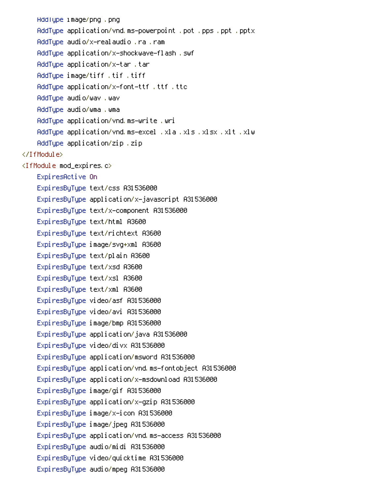AddType image/png .png AddType application/vnd.ms-powerpoint .pot .pps .ppt .pptx AddType audio/x-realaudio .ra .ram AddType application/x-shockwave-flash .swf AddType application/x-tar .tar AddType image/tiff .tif .tiff AddType application/x-font-ttf .ttf .ttc AddType audio/wav .wav AddType audio/wma .wma AddType application/vnd.ms-write .wri AddType application/vnd.ms-excel .xla .xls .xlsx .xlt .xlw AddType application/zip .zip </IfModule> <IfModule mod\_expires.c> ExpiresActive On ExpiresByType text/css A31536000 ExpiresByType application/x-javascript A31536000 ExpiresByType text/x-component A31536000 ExpiresByType text/html A3600 ExpiresByType text/richtext A3600 ExpiresByType image/svg+xml A3600 ExpiresByType text/plain A3600 ExpiresByType text/xsd A3600 ExpiresByType text/xsl A3600 ExpiresByType text/xml A3600 ExpiresByType video/asf A31536000 ExpiresByType video/avi A31536000 ExpiresByType image/bmp A31536000 ExpiresByType application/java A31536000 ExpiresByType video/divx A31536000 ExpiresByType application/msword A31536000 ExpiresByType application/vnd.ms-fontobject A31536000 ExpiresByType application/x-msdownload A31536000 ExpiresByType image/gif A31536000 ExpiresByType application/x-gzip A31536000 ExpiresByType image/x-icon A31536000 ExpiresByType image/jpeg A31536000 ExpiresByType application/vnd.ms-access A31536000 ExpiresByType audio/midi A31536000 ExpiresByType video/quicktime A31536000 ExpiresByType audio/mpeg A31536000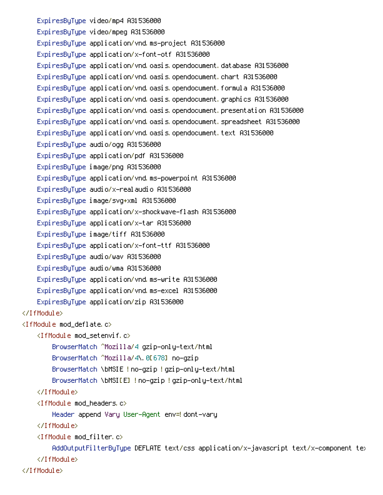ExpiresByType video/mp4 A31536000 ExpiresByType video/mpeg A31536000 ExpiresByType application/vnd.ms-project A31536000 ExpiresByType application/x-font-otf A31536000 ExpiresByType application/vnd.oasis.opendocument.database A31536000 ExpiresByType application/vnd.oasis.opendocument.chart A31536000 ExpiresByType application/vnd.oasis.opendocument.formula A31536000 ExpiresByType application/vnd.oasis.opendocument.graphics A31536000 ExpiresByType application/vnd.oasis.opendocument.presentation A31536000 ExpiresByType application/vnd.oasis.opendocument.spreadsheet A31536000 ExpiresByType application/vnd.oasis.opendocument.text A31536000 ExpiresByType audio/ogg A31536000 ExpiresByType application/pdf A31536000 ExpiresByType image/png A31536000 ExpiresByType application/vnd.ms-powerpoint A31536000 ExpiresByType audio/x-realaudio A31536000 ExpiresByType image/svg+xml A31536000 ExpiresByType application/x-shockwave-flash A31536000 ExpiresByType application/x-tar A31536000 ExpiresByType image/tiff A31536000 ExpiresByType application/x-font-ttf A31536000 ExpiresByType audio/wav A31536000 ExpiresByType audio/wma A31536000 ExpiresByType application/vnd.ms-write A31536000 ExpiresByType application/vnd.ms-excel A31536000 ExpiresByType application/zip A31536000 </IfModule> <IfModule mod\_deflate.c> <IfModule mod\_setenvif.c> BrowserMatch ^Mozilla/4 gzip-only-text/html BrowserMatch ^Mozilla/4\.0[678] no-gzip BrowserMatch \bMSIE !no-gzip !gzip-only-text/html BrowserMatch \bMSI[E] !no-gzip !gzip-only-text/html </IfModule> <IfModule mod\_headers.c> Header append Vary User-Agent env=! dont-vary </IfModule> <IfModule mod\_filter.c> AddOutputFilterByType DEFLATE text/css application/x-javascript text/x-component text </IfModule>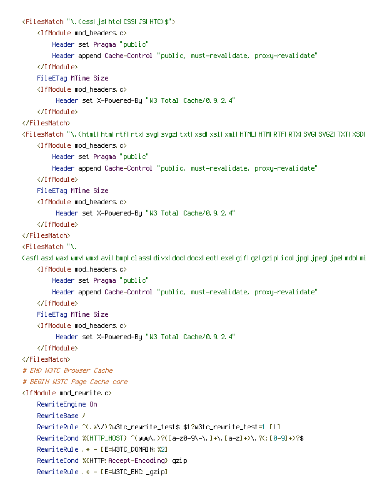```
<FilesMatch "\.(css|js|htc|CSS|JS|HTC)$">
    <IfModule mod_headers.c>
        Header set Pragma "public"
        Header append Cache-Control "public, must-revalidate, proxy-revalidate"
    </IfModule>
    FileETag MTime Size
    <IfModule mod_headers.c>
         Header set X-Powered-By "W3 Total Cache/0.9.2.4"
    </IfModule>
</FilesMatch>
<FilesMatch "\.(html|htm|rtf|rtx|svg|svgz|txt|xsd|xsl|xml|HTML|HTM|RTF|RTX|SVG|SVGZ|TXT|XSD|XSL|XML)$"
    <IfModule mod_headers.c>
        Header set Pragma "public"
        Header append Cache-Control "public, must-revalidate, proxy-revalidate"
    </IfModule>
    FileETag MTime Size
    <IfModule mod_headers.c>
         Header set X-Powered-By "W3 Total Cache/0.9.2.4"
    </IfModule>
</FilesMatch>
<FilesMatch "\.
(asfl asxl waxl wmvl wmxl avil bmpl classl divxl dock docxl eothexel gifl gzh gziphicol jpgh jpegh jpehmdbhmi
    <IfModule mod_headers.c>
        Header set Pragma "public"
        Header append Cache-Control "public, must-revalidate, proxy-revalidate"
    </IfModule>
    FileETag MTime Size
    <IfModule mod_headers.c>
         Header set X-Powered-By "W3 Total Cache/0.9.2.4"
    </IfModule>
</FilesMatch>
# END W3TC Browser Cache
# BEGIN W3TC Page Cache core
\langleIfModule mod rewrite.c\rangleRewriteEngine On
    RewriteBase /
    RewriteRule ^(.*\/)?w3tc_rewrite_test$ $1?w3tc_rewrite_test=1 [L]
    RewriteCond %{HTTP_HOST} ^(www\.)?([a-z0-9\-\.]+\.[a-z]+)\.?(:[0-9]+)?$
    RewriteRule .* - [E=W3TC_DOMAIN:%2]
    RewriteCond %{HTTP: Accept-Encoding} gzip
    RewriteRule .* - [E=W3TC_ENC:_gzip]
```